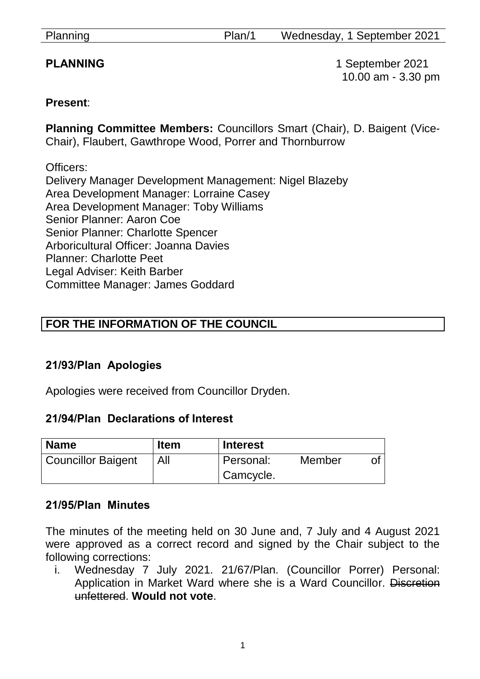| Planning | Plan/1 | Wednesday, 1 September 2021 |
|----------|--------|-----------------------------|
|----------|--------|-----------------------------|

**PLANNING** 1 September 2021 10.00 am - 3.30 pm

#### **Present**:

**Planning Committee Members:** Councillors Smart (Chair), D. Baigent (Vice-Chair), Flaubert, Gawthrope Wood, Porrer and Thornburrow

Officers: Delivery Manager Development Management: Nigel Blazeby Area Development Manager: Lorraine Casey Area Development Manager: Toby Williams Senior Planner: Aaron Coe Senior Planner: Charlotte Spencer Arboricultural Officer: Joanna Davies Planner: Charlotte Peet Legal Adviser: Keith Barber Committee Manager: James Goddard

# **FOR THE INFORMATION OF THE COUNCIL**

#### **21/93/Plan Apologies**

Apologies were received from Councillor Dryden.

#### **21/94/Plan Declarations of Interest**

| <b>Name</b>               | <b>Item</b> | <b>Interest</b> |        |  |
|---------------------------|-------------|-----------------|--------|--|
| <b>Councillor Baigent</b> | All         | Personal:       | Member |  |
|                           |             | Camcycle.       |        |  |

#### **21/95/Plan Minutes**

The minutes of the meeting held on 30 June and, 7 July and 4 August 2021 were approved as a correct record and signed by the Chair subject to the following corrections:

i. Wednesday 7 July 2021. 21/67/Plan. (Councillor Porrer) Personal: Application in Market Ward where she is a Ward Councillor. Discretion unfettered. **Would not vote**.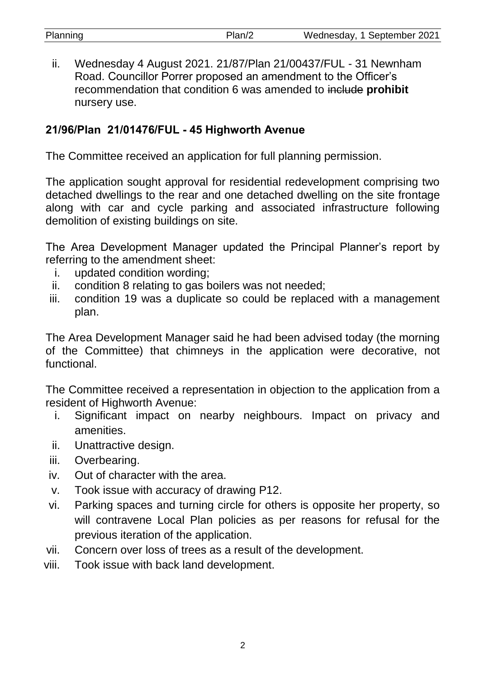| Planning | Plan/2 | Wednesday, 1 September 2021 |
|----------|--------|-----------------------------|

ii. Wednesday 4 August 2021. 21/87/Plan 21/00437/FUL - 31 Newnham Road. Councillor Porrer proposed an amendment to the Officer's recommendation that condition 6 was amended to include **prohibit**  nursery use.

#### **21/96/Plan 21/01476/FUL - 45 Highworth Avenue**

The Committee received an application for full planning permission.

The application sought approval for residential redevelopment comprising two detached dwellings to the rear and one detached dwelling on the site frontage along with car and cycle parking and associated infrastructure following demolition of existing buildings on site.

The Area Development Manager updated the Principal Planner's report by referring to the amendment sheet:

- i. updated condition wording;
- ii. condition 8 relating to gas boilers was not needed;
- iii. condition 19 was a duplicate so could be replaced with a management plan.

The Area Development Manager said he had been advised today (the morning of the Committee) that chimneys in the application were decorative, not functional.

The Committee received a representation in objection to the application from a resident of Highworth Avenue:

- i. Significant impact on nearby neighbours. Impact on privacy and amenities.
- ii. Unattractive design.
- iii. Overbearing.
- iv. Out of character with the area.
- v. Took issue with accuracy of drawing P12.
- vi. Parking spaces and turning circle for others is opposite her property, so will contravene Local Plan policies as per reasons for refusal for the previous iteration of the application.
- vii. Concern over loss of trees as a result of the development.
- viii. Took issue with back land development.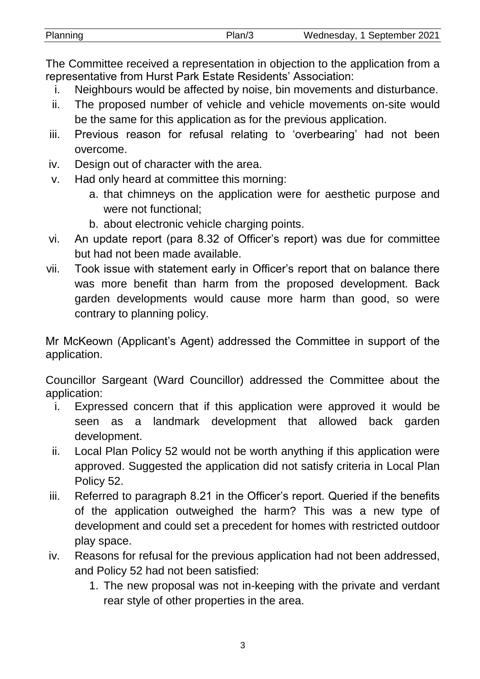| Planning | Plan/3 | Wednesday, 1 September 2021 |
|----------|--------|-----------------------------|

The Committee received a representation in objection to the application from a representative from Hurst Park Estate Residents' Association:

- i. Neighbours would be affected by noise, bin movements and disturbance.
- ii. The proposed number of vehicle and vehicle movements on-site would be the same for this application as for the previous application.
- iii. Previous reason for refusal relating to 'overbearing' had not been overcome.
- iv. Design out of character with the area.
- v. Had only heard at committee this morning:
	- a. that chimneys on the application were for aesthetic purpose and were not functional;
	- b. about electronic vehicle charging points.
- vi. An update report (para 8.32 of Officer's report) was due for committee but had not been made available.
- vii. Took issue with statement early in Officer's report that on balance there was more benefit than harm from the proposed development. Back garden developments would cause more harm than good, so were contrary to planning policy.

Mr McKeown (Applicant's Agent) addressed the Committee in support of the application.

Councillor Sargeant (Ward Councillor) addressed the Committee about the application:

- i. Expressed concern that if this application were approved it would be seen as a landmark development that allowed back garden development.
- ii. Local Plan Policy 52 would not be worth anything if this application were approved. Suggested the application did not satisfy criteria in Local Plan Policy 52.
- iii. Referred to paragraph 8.21 in the Officer's report. Queried if the benefits of the application outweighed the harm? This was a new type of development and could set a precedent for homes with restricted outdoor play space.
- iv. Reasons for refusal for the previous application had not been addressed, and Policy 52 had not been satisfied:
	- 1. The new proposal was not in-keeping with the private and verdant rear style of other properties in the area.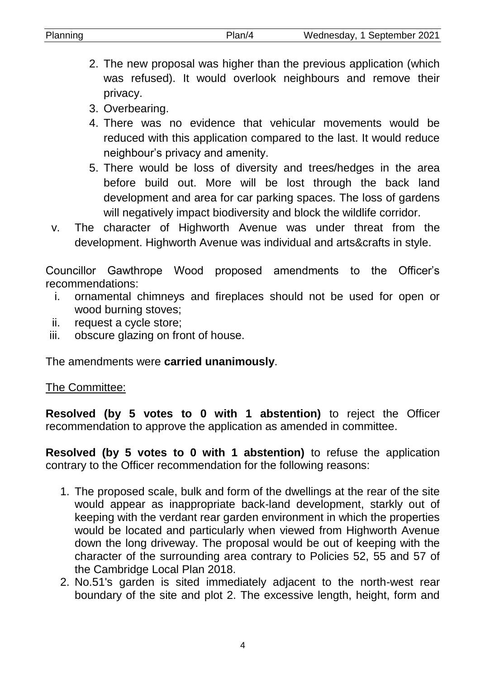| Planning |          |  | Plan/4 |                                                                     | Wednesday, 1 September 2021 |  |
|----------|----------|--|--------|---------------------------------------------------------------------|-----------------------------|--|
|          |          |  |        |                                                                     |                             |  |
|          |          |  |        | 2. The new proposal was higher than the previous application (which |                             |  |
|          |          |  |        | was refused). It would overlook neighbours and remove their         |                             |  |
|          | privacy. |  |        |                                                                     |                             |  |

- 3. Overbearing.
- 4. There was no evidence that vehicular movements would be reduced with this application compared to the last. It would reduce neighbour's privacy and amenity.
- 5. There would be loss of diversity and trees/hedges in the area before build out. More will be lost through the back land development and area for car parking spaces. The loss of gardens will negatively impact biodiversity and block the wildlife corridor.
- v. The character of Highworth Avenue was under threat from the development. Highworth Avenue was individual and arts&crafts in style.

Councillor Gawthrope Wood proposed amendments to the Officer's recommendations:

- i. ornamental chimneys and fireplaces should not be used for open or wood burning stoves;
- ii. request a cycle store;
- iii. obscure glazing on front of house.

The amendments were **carried unanimously**.

#### The Committee:

**Resolved (by 5 votes to 0 with 1 abstention)** to reject the Officer recommendation to approve the application as amended in committee.

**Resolved (by 5 votes to 0 with 1 abstention)** to refuse the application contrary to the Officer recommendation for the following reasons:

- 1. The proposed scale, bulk and form of the dwellings at the rear of the site would appear as inappropriate back-land development, starkly out of keeping with the verdant rear garden environment in which the properties would be located and particularly when viewed from Highworth Avenue down the long driveway. The proposal would be out of keeping with the character of the surrounding area contrary to Policies 52, 55 and 57 of the Cambridge Local Plan 2018.
- 2. No.51's garden is sited immediately adjacent to the north-west rear boundary of the site and plot 2. The excessive length, height, form and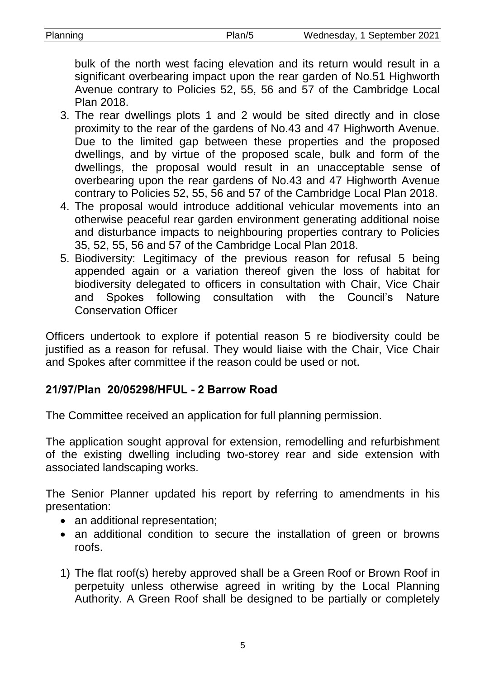| Planning | Plan/5 | Wednesday, 1 September 2021 |
|----------|--------|-----------------------------|
|          |        |                             |

bulk of the north west facing elevation and its return would result in a significant overbearing impact upon the rear garden of No.51 Highworth Avenue contrary to Policies 52, 55, 56 and 57 of the Cambridge Local Plan 2018.

- 3. The rear dwellings plots 1 and 2 would be sited directly and in close proximity to the rear of the gardens of No.43 and 47 Highworth Avenue. Due to the limited gap between these properties and the proposed dwellings, and by virtue of the proposed scale, bulk and form of the dwellings, the proposal would result in an unacceptable sense of overbearing upon the rear gardens of No.43 and 47 Highworth Avenue contrary to Policies 52, 55, 56 and 57 of the Cambridge Local Plan 2018.
- 4. The proposal would introduce additional vehicular movements into an otherwise peaceful rear garden environment generating additional noise and disturbance impacts to neighbouring properties contrary to Policies 35, 52, 55, 56 and 57 of the Cambridge Local Plan 2018.
- 5. Biodiversity: Legitimacy of the previous reason for refusal 5 being appended again or a variation thereof given the loss of habitat for biodiversity delegated to officers in consultation with Chair, Vice Chair and Spokes following consultation with the Council's Nature Conservation Officer

Officers undertook to explore if potential reason 5 re biodiversity could be justified as a reason for refusal. They would liaise with the Chair, Vice Chair and Spokes after committee if the reason could be used or not.

# **21/97/Plan 20/05298/HFUL - 2 Barrow Road**

The Committee received an application for full planning permission.

The application sought approval for extension, remodelling and refurbishment of the existing dwelling including two-storey rear and side extension with associated landscaping works.

The Senior Planner updated his report by referring to amendments in his presentation:

- an additional representation;
- an additional condition to secure the installation of green or browns roofs.
- 1) The flat roof(s) hereby approved shall be a Green Roof or Brown Roof in perpetuity unless otherwise agreed in writing by the Local Planning Authority. A Green Roof shall be designed to be partially or completely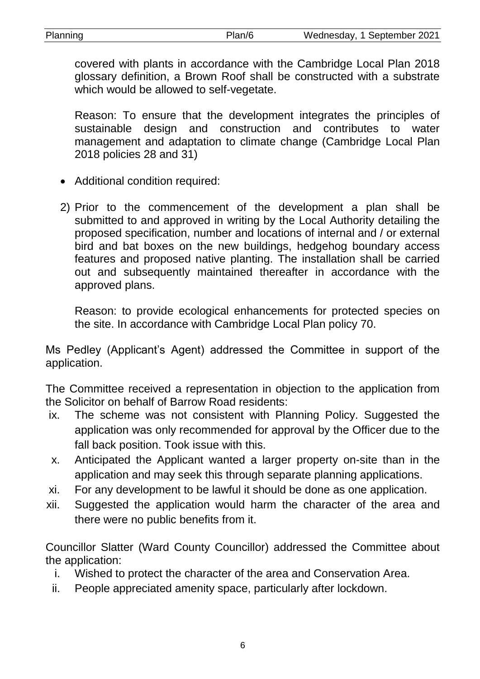Planning Plan/6 Wednesday, 1 September 2021

covered with plants in accordance with the Cambridge Local Plan 2018 glossary definition, a Brown Roof shall be constructed with a substrate which would be allowed to self-vegetate.

Reason: To ensure that the development integrates the principles of sustainable design and construction and contributes to water management and adaptation to climate change (Cambridge Local Plan 2018 policies 28 and 31)

- Additional condition required:
- 2) Prior to the commencement of the development a plan shall be submitted to and approved in writing by the Local Authority detailing the proposed specification, number and locations of internal and / or external bird and bat boxes on the new buildings, hedgehog boundary access features and proposed native planting. The installation shall be carried out and subsequently maintained thereafter in accordance with the approved plans.

Reason: to provide ecological enhancements for protected species on the site. In accordance with Cambridge Local Plan policy 70.

Ms Pedley (Applicant's Agent) addressed the Committee in support of the application.

The Committee received a representation in objection to the application from the Solicitor on behalf of Barrow Road residents:

- ix. The scheme was not consistent with Planning Policy. Suggested the application was only recommended for approval by the Officer due to the fall back position. Took issue with this.
- x. Anticipated the Applicant wanted a larger property on-site than in the application and may seek this through separate planning applications.
- xi. For any development to be lawful it should be done as one application.
- xii. Suggested the application would harm the character of the area and there were no public benefits from it.

Councillor Slatter (Ward County Councillor) addressed the Committee about the application:

- i. Wished to protect the character of the area and Conservation Area.
- ii. People appreciated amenity space, particularly after lockdown.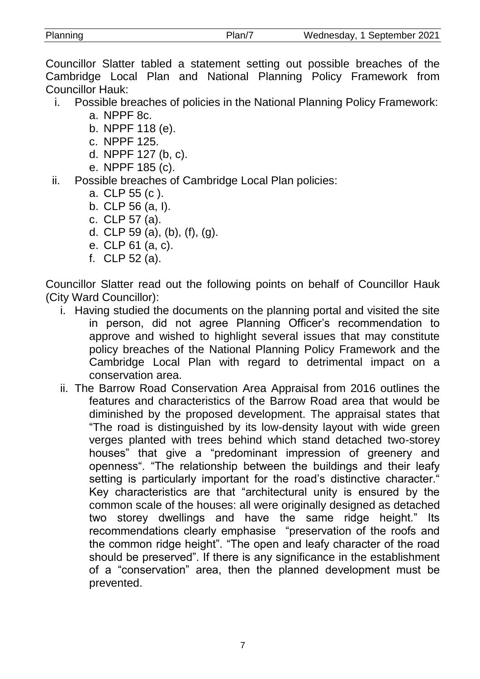7

Councillor Slatter tabled a statement setting out possible breaches of the Cambridge Local Plan and National Planning Policy Framework from Councillor Hauk:

- i. Possible breaches of policies in the National Planning Policy Framework:
	- a. NPPF 8c.
	- b. NPPF 118 (e).
	- c. NPPF 125.
	- d. NPPF 127 (b, c).
	- e. NPPF 185 (c).
- ii. Possible breaches of Cambridge Local Plan policies:
	- a. CLP 55 (c ).
	- b. CLP 56 (a, I).
	- c. CLP 57 (a).
	- d. CLP 59 (a), (b), (f), (g).
	- e. CLP 61 (a, c).
	- f. CLP 52 (a).

Councillor Slatter read out the following points on behalf of Councillor Hauk (City Ward Councillor):

- i. Having studied the documents on the planning portal and visited the site in person, did not agree Planning Officer's recommendation to approve and wished to highlight several issues that may constitute policy breaches of the National Planning Policy Framework and the Cambridge Local Plan with regard to detrimental impact on a conservation area.
- ii. The Barrow Road Conservation Area Appraisal from 2016 outlines the features and characteristics of the Barrow Road area that would be diminished by the proposed development. The appraisal states that "The road is distinguished by its low-density layout with wide green verges planted with trees behind which stand detached two-storey houses" that give a "predominant impression of greenery and openness". "The relationship between the buildings and their leafy setting is particularly important for the road's distinctive character." Key characteristics are that "architectural unity is ensured by the common scale of the houses: all were originally designed as detached two storey dwellings and have the same ridge height." Its recommendations clearly emphasise "preservation of the roofs and the common ridge height". "The open and leafy character of the road should be preserved". If there is any significance in the establishment of a "conservation" area, then the planned development must be prevented.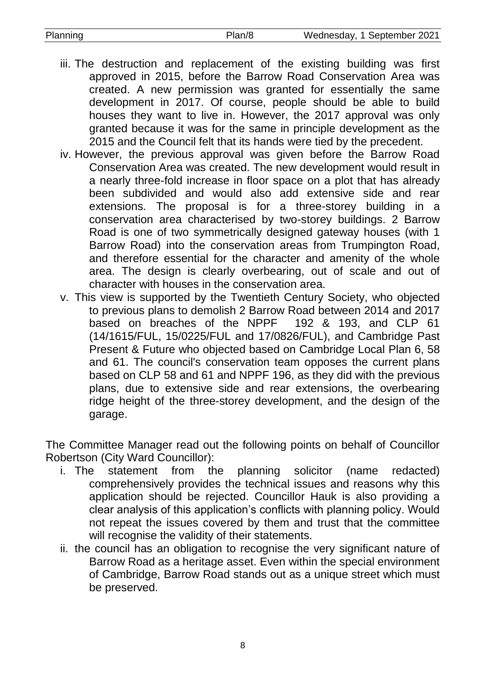- iii. The destruction and replacement of the existing building was first approved in 2015, before the Barrow Road Conservation Area was created. A new permission was granted for essentially the same development in 2017. Of course, people should be able to build houses they want to live in. However, the 2017 approval was only granted because it was for the same in principle development as the 2015 and the Council felt that its hands were tied by the precedent.
- iv. However, the previous approval was given before the Barrow Road Conservation Area was created. The new development would result in a nearly three-fold increase in floor space on a plot that has already been subdivided and would also add extensive side and rear extensions. The proposal is for a three-storey building in a conservation area characterised by two-storey buildings. 2 Barrow Road is one of two symmetrically designed gateway houses (with 1 Barrow Road) into the conservation areas from Trumpington Road, and therefore essential for the character and amenity of the whole area. The design is clearly overbearing, out of scale and out of character with houses in the conservation area.
- v. This view is supported by the Twentieth Century Society, who objected to previous plans to demolish 2 Barrow Road between 2014 and 2017 based on breaches of the NPPF 192 & 193, and CLP 61 (14/1615/FUL, 15/0225/FUL and 17/0826/FUL), and Cambridge Past Present & Future who objected based on Cambridge Local Plan 6, 58 and 61. The council's conservation team opposes the current plans based on CLP 58 and 61 and NPPF 196, as they did with the previous plans, due to extensive side and rear extensions, the overbearing ridge height of the three-storey development, and the design of the garage.

The Committee Manager read out the following points on behalf of Councillor Robertson (City Ward Councillor):

- i. The statement from the planning solicitor (name redacted) comprehensively provides the technical issues and reasons why this application should be rejected. Councillor Hauk is also providing a clear analysis of this application's conflicts with planning policy. Would not repeat the issues covered by them and trust that the committee will recognise the validity of their statements.
- ii. the council has an obligation to recognise the very significant nature of Barrow Road as a heritage asset. Even within the special environment of Cambridge, Barrow Road stands out as a unique street which must be preserved.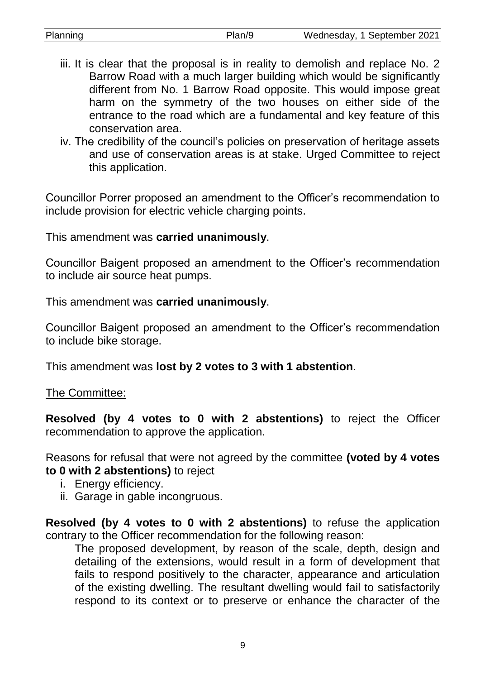| Planning | Plan/9 |
|----------|--------|
|          |        |

- iii. It is clear that the proposal is in reality to demolish and replace No. 2 Barrow Road with a much larger building which would be significantly different from No. 1 Barrow Road opposite. This would impose great harm on the symmetry of the two houses on either side of the entrance to the road which are a fundamental and key feature of this conservation area.
- iv. The credibility of the council's policies on preservation of heritage assets and use of conservation areas is at stake. Urged Committee to reject this application.

Councillor Porrer proposed an amendment to the Officer's recommendation to include provision for electric vehicle charging points.

This amendment was **carried unanimously**.

Councillor Baigent proposed an amendment to the Officer's recommendation to include air source heat pumps.

This amendment was **carried unanimously**.

Councillor Baigent proposed an amendment to the Officer's recommendation to include bike storage.

This amendment was **lost by 2 votes to 3 with 1 abstention**.

The Committee:

**Resolved (by 4 votes to 0 with 2 abstentions)** to reject the Officer recommendation to approve the application.

Reasons for refusal that were not agreed by the committee **(voted by 4 votes to 0 with 2 abstentions)** to reject

- i. Energy efficiency.
- ii. Garage in gable incongruous.

**Resolved (by 4 votes to 0 with 2 abstentions)** to refuse the application contrary to the Officer recommendation for the following reason:

The proposed development, by reason of the scale, depth, design and detailing of the extensions, would result in a form of development that fails to respond positively to the character, appearance and articulation of the existing dwelling. The resultant dwelling would fail to satisfactorily respond to its context or to preserve or enhance the character of the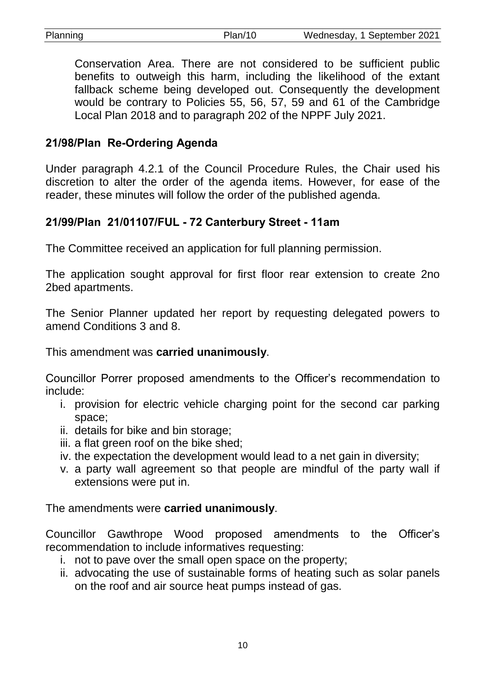Conservation Area. There are not considered to be sufficient public benefits to outweigh this harm, including the likelihood of the extant fallback scheme being developed out. Consequently the development would be contrary to Policies 55, 56, 57, 59 and 61 of the Cambridge Local Plan 2018 and to paragraph 202 of the NPPF July 2021.

## **21/98/Plan Re-Ordering Agenda**

Under paragraph 4.2.1 of the Council Procedure Rules, the Chair used his discretion to alter the order of the agenda items. However, for ease of the reader, these minutes will follow the order of the published agenda.

# **21/99/Plan 21/01107/FUL - 72 Canterbury Street - 11am**

The Committee received an application for full planning permission.

The application sought approval for first floor rear extension to create 2no 2bed apartments.

The Senior Planner updated her report by requesting delegated powers to amend Conditions 3 and 8.

This amendment was **carried unanimously**.

Councillor Porrer proposed amendments to the Officer's recommendation to include:

- i. provision for electric vehicle charging point for the second car parking space;
- ii. details for bike and bin storage;
- iii. a flat green roof on the bike shed;
- iv. the expectation the development would lead to a net gain in diversity;
- v. a party wall agreement so that people are mindful of the party wall if extensions were put in.

The amendments were **carried unanimously**.

Councillor Gawthrope Wood proposed amendments to the Officer's recommendation to include informatives requesting:

- i. not to pave over the small open space on the property;
- ii. advocating the use of sustainable forms of heating such as solar panels on the roof and air source heat pumps instead of gas.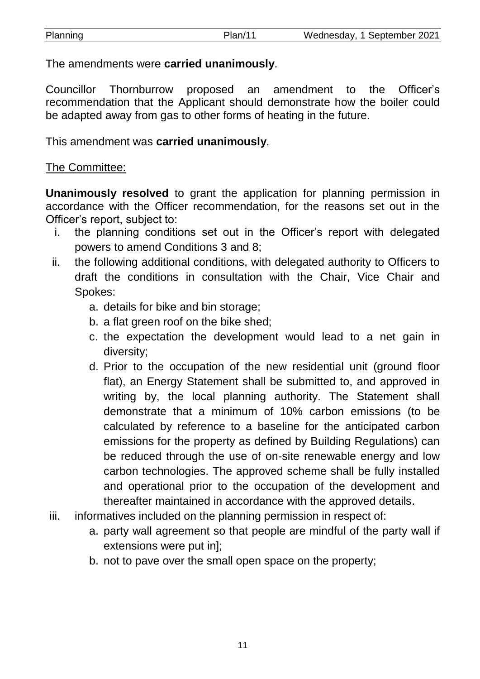| Planning | Plan/11 | Wednesday, 1 September 2021 |
|----------|---------|-----------------------------|
|          |         |                             |

The amendments were **carried unanimously**.

Councillor Thornburrow proposed an amendment to the Officer's recommendation that the Applicant should demonstrate how the boiler could be adapted away from gas to other forms of heating in the future.

This amendment was **carried unanimously**.

## The Committee:

**Unanimously resolved** to grant the application for planning permission in accordance with the Officer recommendation, for the reasons set out in the Officer's report, subject to:

- i. the planning conditions set out in the Officer's report with delegated powers to amend Conditions 3 and 8;
- ii. the following additional conditions, with delegated authority to Officers to draft the conditions in consultation with the Chair, Vice Chair and Spokes:
	- a. details for bike and bin storage;
	- b. a flat green roof on the bike shed;
	- c. the expectation the development would lead to a net gain in diversity;
	- d. Prior to the occupation of the new residential unit (ground floor flat), an Energy Statement shall be submitted to, and approved in writing by, the local planning authority. The Statement shall demonstrate that a minimum of 10% carbon emissions (to be calculated by reference to a baseline for the anticipated carbon emissions for the property as defined by Building Regulations) can be reduced through the use of on-site renewable energy and low carbon technologies. The approved scheme shall be fully installed and operational prior to the occupation of the development and thereafter maintained in accordance with the approved details.
- iii. informatives included on the planning permission in respect of:
	- a. party wall agreement so that people are mindful of the party wall if extensions were put in];
	- b. not to pave over the small open space on the property;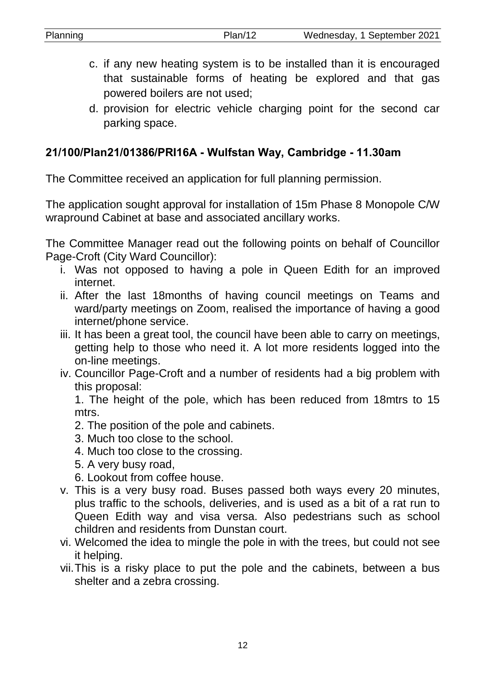- c. if any new heating system is to be installed than it is encouraged that sustainable forms of heating be explored and that gas powered boilers are not used;
- d. provision for electric vehicle charging point for the second car parking space.

#### **21/100/Plan21/01386/PRI16A - Wulfstan Way, Cambridge - 11.30am**

The Committee received an application for full planning permission.

The application sought approval for installation of 15m Phase 8 Monopole C/W wrapround Cabinet at base and associated ancillary works.

The Committee Manager read out the following points on behalf of Councillor Page-Croft (City Ward Councillor):

- i. Was not opposed to having a pole in Queen Edith for an improved internet.
- ii. After the last 18months of having council meetings on Teams and ward/party meetings on Zoom, realised the importance of having a good internet/phone service.
- iii. It has been a great tool, the council have been able to carry on meetings, getting help to those who need it. A lot more residents logged into the on-line meetings.
- iv. Councillor Page-Croft and a number of residents had a big problem with this proposal:

1. The height of the pole, which has been reduced from 18mtrs to 15 mtrs.

- 2. The position of the pole and cabinets.
- 3. Much too close to the school.
- 4. Much too close to the crossing.
- 5. A very busy road,
- 6. Lookout from coffee house.
- v. This is a very busy road. Buses passed both ways every 20 minutes, plus traffic to the schools, deliveries, and is used as a bit of a rat run to Queen Edith way and visa versa. Also pedestrians such as school children and residents from Dunstan court.
- vi. Welcomed the idea to mingle the pole in with the trees, but could not see it helping.
- vii.This is a risky place to put the pole and the cabinets, between a bus shelter and a zebra crossing.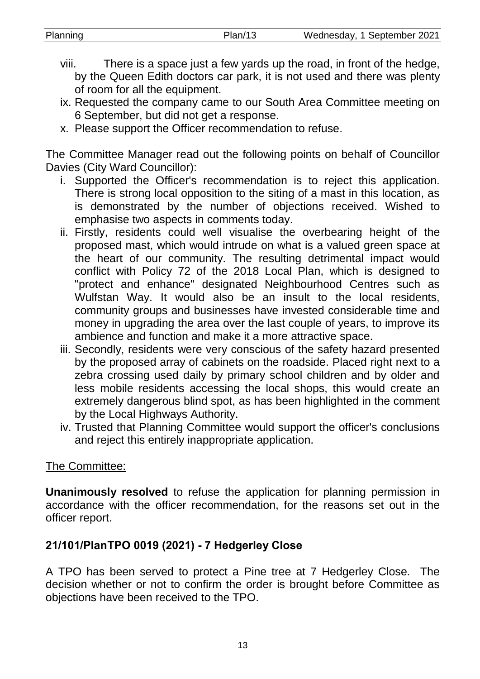| Planning | Plan/13 | Wednesday, 1 September 2021 |
|----------|---------|-----------------------------|
|          |         |                             |

- viii. There is a space just a few yards up the road, in front of the hedge, by the Queen Edith doctors car park, it is not used and there was plenty of room for all the equipment.
- ix. Requested the company came to our South Area Committee meeting on 6 September, but did not get a response.
- x. Please support the Officer recommendation to refuse.

The Committee Manager read out the following points on behalf of Councillor Davies (City Ward Councillor):

- i. Supported the Officer's recommendation is to reject this application. There is strong local opposition to the siting of a mast in this location, as is demonstrated by the number of objections received. Wished to emphasise two aspects in comments today.
- ii. Firstly, residents could well visualise the overbearing height of the proposed mast, which would intrude on what is a valued green space at the heart of our community. The resulting detrimental impact would conflict with Policy 72 of the 2018 Local Plan, which is designed to "protect and enhance" designated Neighbourhood Centres such as Wulfstan Way. It would also be an insult to the local residents, community groups and businesses have invested considerable time and money in upgrading the area over the last couple of years, to improve its ambience and function and make it a more attractive space.
- iii. Secondly, residents were very conscious of the safety hazard presented by the proposed array of cabinets on the roadside. Placed right next to a zebra crossing used daily by primary school children and by older and less mobile residents accessing the local shops, this would create an extremely dangerous blind spot, as has been highlighted in the comment by the Local Highways Authority.
- iv. Trusted that Planning Committee would support the officer's conclusions and reject this entirely inappropriate application.

#### The Committee:

**Unanimously resolved** to refuse the application for planning permission in accordance with the officer recommendation, for the reasons set out in the officer report.

# **21/101/PlanTPO 0019 (2021) - 7 Hedgerley Close**

A TPO has been served to protect a Pine tree at 7 Hedgerley Close. The decision whether or not to confirm the order is brought before Committee as objections have been received to the TPO.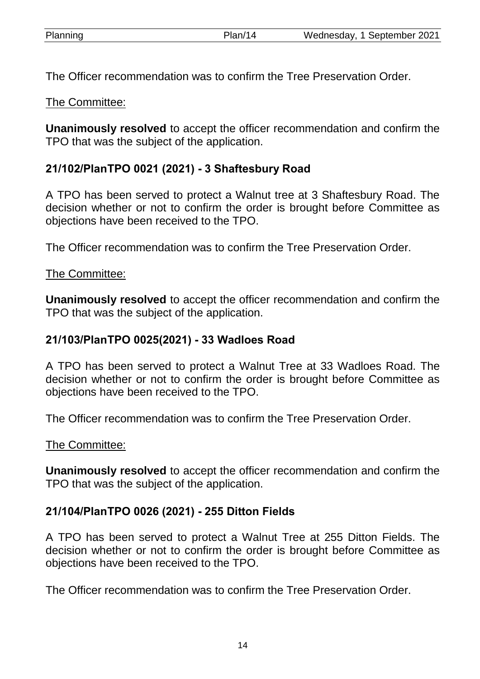The Officer recommendation was to confirm the Tree Preservation Order.

The Committee:

**Unanimously resolved** to accept the officer recommendation and confirm the TPO that was the subject of the application.

# **21/102/PlanTPO 0021 (2021) - 3 Shaftesbury Road**

A TPO has been served to protect a Walnut tree at 3 Shaftesbury Road. The decision whether or not to confirm the order is brought before Committee as objections have been received to the TPO.

The Officer recommendation was to confirm the Tree Preservation Order.

#### The Committee:

**Unanimously resolved** to accept the officer recommendation and confirm the TPO that was the subject of the application.

# **21/103/PlanTPO 0025(2021) - 33 Wadloes Road**

A TPO has been served to protect a Walnut Tree at 33 Wadloes Road. The decision whether or not to confirm the order is brought before Committee as objections have been received to the TPO.

The Officer recommendation was to confirm the Tree Preservation Order.

#### The Committee:

**Unanimously resolved** to accept the officer recommendation and confirm the TPO that was the subject of the application.

# **21/104/PlanTPO 0026 (2021) - 255 Ditton Fields**

A TPO has been served to protect a Walnut Tree at 255 Ditton Fields. The decision whether or not to confirm the order is brought before Committee as objections have been received to the TPO.

The Officer recommendation was to confirm the Tree Preservation Order.